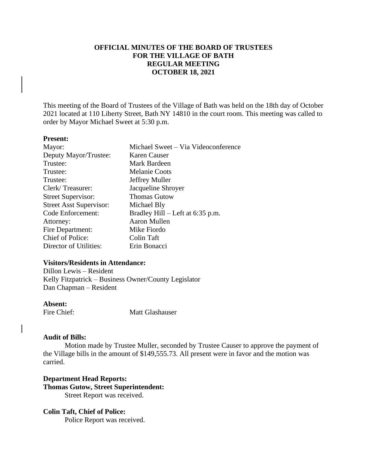# **OFFICIAL MINUTES OF THE BOARD OF TRUSTEES FOR THE VILLAGE OF BATH REGULAR MEETING OCTOBER 18, 2021**

This meeting of the Board of Trustees of the Village of Bath was held on the 18th day of October 2021 located at 110 Liberty Street, Bath NY 14810 in the court room. This meeting was called to order by Mayor Michael Sweet at 5:30 p.m.

#### **Present:**

| Mayor:                         | Michael Sweet - Via Videoconference |
|--------------------------------|-------------------------------------|
| Deputy Mayor/Trustee:          | Karen Causer                        |
| Trustee:                       | Mark Bardeen                        |
| Trustee:                       | <b>Melanie Coots</b>                |
| Trustee:                       | Jeffrey Muller                      |
| Clerk/Treasurer:               | Jacqueline Shroyer                  |
| <b>Street Supervisor:</b>      | <b>Thomas Gutow</b>                 |
| <b>Street Asst Supervisor:</b> | Michael Bly                         |
| Code Enforcement:              | Bradley Hill $-$ Left at 6:35 p.m.  |
| Attorney:                      | Aaron Mullen                        |
| Fire Department:               | Mike Fiordo                         |
| Chief of Police:               | <b>Colin Taft</b>                   |
| Director of Utilities:         | Erin Bonacci                        |
|                                |                                     |

# **Visitors/Residents in Attendance:**

Dillon Lewis – Resident Kelly Fitzpatrick – Business Owner/County Legislator Dan Chapman – Resident

### **Absent:**

Fire Chief: Matt Glashauser

#### **Audit of Bills:**

Motion made by Trustee Muller, seconded by Trustee Causer to approve the payment of the Village bills in the amount of \$149,555.73. All present were in favor and the motion was carried.

**Department Head Reports: Thomas Gutow, Street Superintendent:** Street Report was received.

#### **Colin Taft, Chief of Police:**

Police Report was received.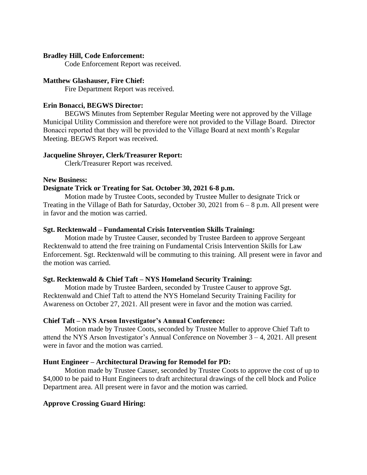## **Bradley Hill, Code Enforcement:**

Code Enforcement Report was received.

## **Matthew Glashauser, Fire Chief:**

Fire Department Report was received.

## **Erin Bonacci, BEGWS Director:**

BEGWS Minutes from September Regular Meeting were not approved by the Village Municipal Utility Commission and therefore were not provided to the Village Board. Director Bonacci reported that they will be provided to the Village Board at next month's Regular Meeting. BEGWS Report was received.

#### **Jacqueline Shroyer, Clerk/Treasurer Report:**

Clerk/Treasurer Report was received.

#### **New Business:**

#### **Designate Trick or Treating for Sat. October 30, 2021 6-8 p.m.**

Motion made by Trustee Coots, seconded by Trustee Muller to designate Trick or Treating in the Village of Bath for Saturday, October 30, 2021 from 6 – 8 p.m. All present were in favor and the motion was carried.

#### **Sgt. Recktenwald – Fundamental Crisis Intervention Skills Training:**

Motion made by Trustee Causer, seconded by Trustee Bardeen to approve Sergeant Recktenwald to attend the free training on Fundamental Crisis Intervention Skills for Law Enforcement. Sgt. Recktenwald will be commuting to this training. All present were in favor and the motion was carried.

#### **Sgt. Recktenwald & Chief Taft – NYS Homeland Security Training:**

Motion made by Trustee Bardeen, seconded by Trustee Causer to approve Sgt. Recktenwald and Chief Taft to attend the NYS Homeland Security Training Facility for Awareness on October 27, 2021. All present were in favor and the motion was carried.

#### **Chief Taft – NYS Arson Investigator's Annual Conference:**

Motion made by Trustee Coots, seconded by Trustee Muller to approve Chief Taft to attend the NYS Arson Investigator's Annual Conference on November 3 – 4, 2021. All present were in favor and the motion was carried.

#### **Hunt Engineer – Architectural Drawing for Remodel for PD:**

Motion made by Trustee Causer, seconded by Trustee Coots to approve the cost of up to \$4,000 to be paid to Hunt Engineers to draft architectural drawings of the cell block and Police Department area. All present were in favor and the motion was carried.

#### **Approve Crossing Guard Hiring:**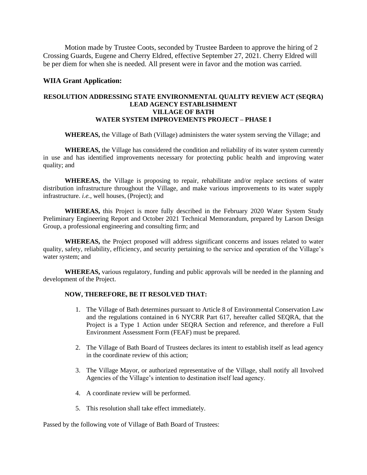Motion made by Trustee Coots, seconded by Trustee Bardeen to approve the hiring of 2 Crossing Guards, Eugene and Cherry Eldred, effective September 27, 2021. Cherry Eldred will be per diem for when she is needed. All present were in favor and the motion was carried.

#### **WIIA Grant Application:**

## **RESOLUTION ADDRESSING STATE ENVIRONMENTAL QUALITY REVIEW ACT (SEQRA) LEAD AGENCY ESTABLISHMENT VILLAGE OF BATH WATER SYSTEM IMPROVEMENTS PROJECT – PHASE I**

**WHEREAS,** the Village of Bath (Village) administers the water system serving the Village; and

**WHEREAS,** the Village has considered the condition and reliability of its water system currently in use and has identified improvements necessary for protecting public health and improving water quality; and

**WHEREAS,** the Village is proposing to repair, rehabilitate and/or replace sections of water distribution infrastructure throughout the Village, and make various improvements to its water supply infrastructure. *i.e.,* well houses, (Project); and

**WHEREAS,** this Project is more fully described in the February 2020 Water System Study Preliminary Engineering Report and October 2021 Technical Memorandum, prepared by Larson Design Group, a professional engineering and consulting firm; and

**WHEREAS,** the Project proposed will address significant concerns and issues related to water quality, safety, reliability, efficiency, and security pertaining to the service and operation of the Village's water system; and

**WHEREAS,** various regulatory, funding and public approvals will be needed in the planning and development of the Project.

#### **NOW, THEREFORE, BE IT RESOLVED THAT:**

- 1. The Village of Bath determines pursuant to Article 8 of Environmental Conservation Law and the regulations contained in 6 NYCRR Part 617, hereafter called SEQRA, that the Project is a Type 1 Action under SEQRA Section and reference, and therefore a Full Environment Assessment Form (FEAF) must be prepared.
- 2. The Village of Bath Board of Trustees declares its intent to establish itself as lead agency in the coordinate review of this action;
- 3. The Village Mayor, or authorized representative of the Village, shall notify all Involved Agencies of the Village's intention to destination itself lead agency.
- 4. A coordinate review will be performed.
- 5. This resolution shall take effect immediately.

Passed by the following vote of Village of Bath Board of Trustees: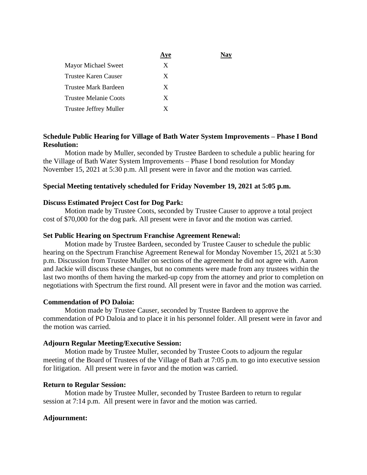|                               | Ave |  |
|-------------------------------|-----|--|
| Mayor Michael Sweet           | X   |  |
| Trustee Karen Causer          | X   |  |
| Trustee Mark Bardeen          | X   |  |
| <b>Trustee Melanie Coots</b>  | X   |  |
| <b>Trustee Jeffrey Muller</b> | X   |  |

# **Schedule Public Hearing for Village of Bath Water System Improvements – Phase I Bond Resolution:**

Motion made by Muller, seconded by Trustee Bardeen to schedule a public hearing for the Village of Bath Water System Improvements – Phase I bond resolution for Monday November 15, 2021 at 5:30 p.m. All present were in favor and the motion was carried.

# **Special Meeting tentatively scheduled for Friday November 19, 2021 at 5:05 p.m.**

# **Discuss Estimated Project Cost for Dog Park:**

Motion made by Trustee Coots, seconded by Trustee Causer to approve a total project cost of \$70,000 for the dog park. All present were in favor and the motion was carried.

## **Set Public Hearing on Spectrum Franchise Agreement Renewal:**

Motion made by Trustee Bardeen, seconded by Trustee Causer to schedule the public hearing on the Spectrum Franchise Agreement Renewal for Monday November 15, 2021 at 5:30 p.m. Discussion from Trustee Muller on sections of the agreement he did not agree with. Aaron and Jackie will discuss these changes, but no comments were made from any trustees within the last two months of them having the marked-up copy from the attorney and prior to completion on negotiations with Spectrum the first round. All present were in favor and the motion was carried.

# **Commendation of PO Daloia:**

Motion made by Trustee Causer, seconded by Trustee Bardeen to approve the commendation of PO Daloia and to place it in his personnel folder. All present were in favor and the motion was carried.

#### **Adjourn Regular Meeting/Executive Session:**

Motion made by Trustee Muller, seconded by Trustee Coots to adjourn the regular meeting of the Board of Trustees of the Village of Bath at 7:05 p.m. to go into executive session for litigation. All present were in favor and the motion was carried.

#### **Return to Regular Session:**

Motion made by Trustee Muller, seconded by Trustee Bardeen to return to regular session at 7:14 p.m. All present were in favor and the motion was carried.

#### **Adjournment:**